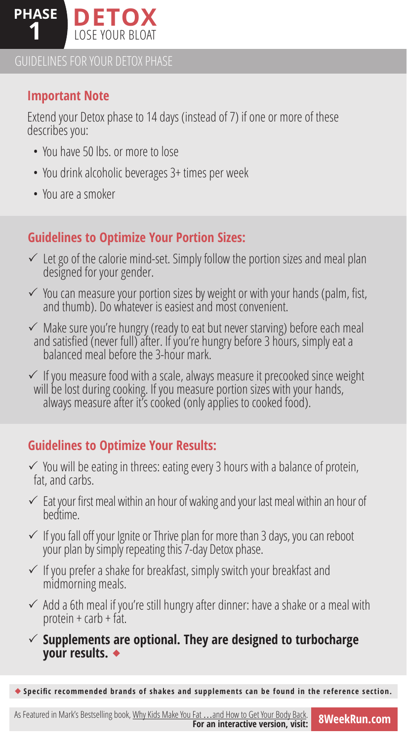

GUIDELINES FOR YOUR DETOX PHASE

## **Important Note**

Extend your Detox phase to 14 days (instead of 7) if one or more of these describes you:

- You have 50 lbs. or more to lose
- You drink alcoholic beverages 3+ times per week
- You are a smoker

# **Guidelines to Optimize Your Portion Sizes:**

- $\checkmark$  Let go of the calorie mind-set. Simply follow the portion sizes and meal plan designed for your gender.
- $\checkmark$  You can measure your portion sizes by weight or with your hands (palm, fist, and thumb). Do whatever is easiest and most convenient.
- $\checkmark$  Make sure you're hungry (ready to eat but never starving) before each meal and satisfied (never full) after. If you're hungry before 3 hours, simply eat a balanced meal before the 3-hour mark.
- $\checkmark$  If you measure food with a scale, always measure it precooked since weight will be lost during cooking. If you measure portion sizes with your hands, always measure after it's cooked (only applies to cooked food).

# **Guidelines to Optimize Your Results:**

- $\checkmark$  You will be eating in threes: eating every 3 hours with a balance of protein, fat, and carbs.
- $\checkmark$  Eat your first meal within an hour of waking and your last meal within an hour of bedtime.
- $\checkmark$  If you fall off your Ignite or Thrive plan for more than 3 days, you can reboot your plan by simply repeating this 7-day Detox phase.
- $\checkmark$  If you prefer a shake for breakfast, simply switch your breakfast and midmorning meals.
- $\checkmark$  Add a 6th meal if you're still hungry after dinner: have a shake or a meal with protein  $+$  carb  $+$  fat.
- $\checkmark$  Supplements are optional. They are designed to turbocharge  **your results.**

**Specific recommended brands of shakes and supplements can be found in the reference section.**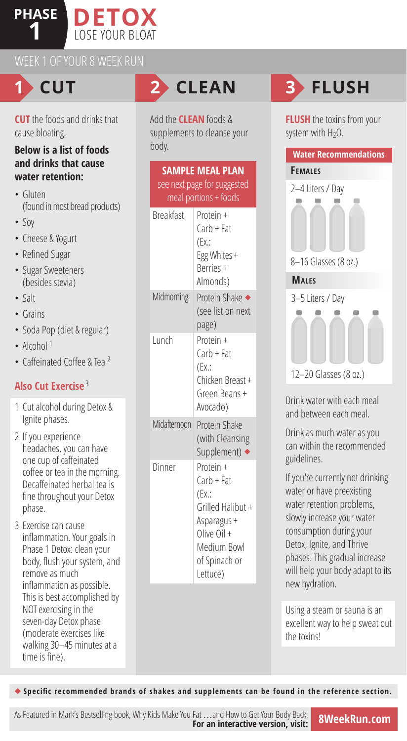## **PHASE 1 DETOX** LOSE YOUR BLOAT



**CUT** the foods and drinks that cause bloating.

### **Below is a list of foods and drinks that cause water retention:**

- Gluten (found in most bread products)
- Soy
- Cheese & Yogurt
- Refined Sugar
- Sugar Sweeteners (besides stevia)
- Salt
- Grains
- Soda Pop (diet & regular)
- Alcohol  $1$
- Caffeinated Coffee & Tea <sup>2</sup>

## **Also Cut Exercise** <sup>3</sup>

- 1 Cut alcohol during Detox & Ignite phases.
- 2 If you experience headaches, you can have one cup of caffeinated coffee or tea in the morning. Decaffeinated herbal tea is fine throughout your Detox phase.
- 3 Exercise can cause inflammation. Your goals in Phase 1 Detox: clean your body, flush your system, and remove as much inflammation as possible. This is best accomplished by NOT exercising in the seven-day Detox phase (moderate exercises like walking 30–45 minutes at a time is fine).

Add the **CLEAN** foods & supplements to cleanse your body.

| <b>SAMPLE MEAL PLAN</b><br>see next page for suggested<br>meal portions + foods |                                                                                                                                    |  |  |  |
|---------------------------------------------------------------------------------|------------------------------------------------------------------------------------------------------------------------------------|--|--|--|
| <b>Breakfast</b>                                                                | Protein +<br>Carb + Fat<br>(EX.:<br>Egg Whites +<br><b>Berries +</b><br>Almonds)                                                   |  |  |  |
| Midmorning                                                                      | Protein Shake ◆<br>(see list on next<br>page)                                                                                      |  |  |  |
| Lunch                                                                           | Protein +<br>Carb + Fat<br>(EX:<br>Chicken Breast +<br>Green Beans +<br>Avocado)                                                   |  |  |  |
| Midafternoon                                                                    | Protein Shake<br>(with Cleansing<br>Supplement) ◆                                                                                  |  |  |  |
| Dinner                                                                          | Protein +<br>$Carb + Fat$<br>(EX:<br>Grilled Halibut +<br>Asparagus +<br>$Olive Oil +$<br>Medium Bowl<br>of Spinach or<br>Lettuce) |  |  |  |

# **1 CUT 2 CLEAN 3 FLUSH**

**FLUSH** the toxins from your system with  $H_2O$ .



Drink water with each meal and between each meal.

Drink as much water as you can within the recommended guidelines.

If you're currently not drinking water or have preexisting water retention problems, slowly increase your water consumption during your Detox, Ignite, and Thrive phases. This gradual increase will help your body adapt to its new hydration.

Using a steam or sauna is an excellent way to help sweat out the toxins!

**Specific recommended brands of shakes and supplements can be found in the reference section.**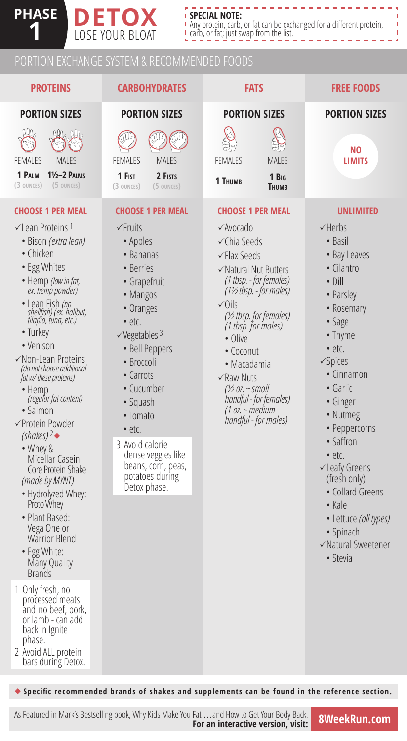### . . . . . **SPECIAL NOTE:**

Any protein, carb, or fat can be exchanged for a different protein, carb, or fat; just swap from the list.

# PORTION EXCHANGE SYSTEM & RECOMMENDED FOODS

**14SE DETOX** LOSE YOUR BLOAT

**PHASE**

| <b>PROTEINS</b>                                                                                                                                                                                                                                                                                                                                                                                                                                                                                                                                                                                                                                                   | <b>CARBOHYDRATES</b>                                                                                                                                                                                                                                                                                                                                              | <b>FATS</b>                                                                                                                                                                                                                                                                                                                                                                          | <b>FREE FOODS</b>                                                                                                                                                                                                                                                                                                                                                                                                                  |
|-------------------------------------------------------------------------------------------------------------------------------------------------------------------------------------------------------------------------------------------------------------------------------------------------------------------------------------------------------------------------------------------------------------------------------------------------------------------------------------------------------------------------------------------------------------------------------------------------------------------------------------------------------------------|-------------------------------------------------------------------------------------------------------------------------------------------------------------------------------------------------------------------------------------------------------------------------------------------------------------------------------------------------------------------|--------------------------------------------------------------------------------------------------------------------------------------------------------------------------------------------------------------------------------------------------------------------------------------------------------------------------------------------------------------------------------------|------------------------------------------------------------------------------------------------------------------------------------------------------------------------------------------------------------------------------------------------------------------------------------------------------------------------------------------------------------------------------------------------------------------------------------|
| <b>PORTION SIZES</b>                                                                                                                                                                                                                                                                                                                                                                                                                                                                                                                                                                                                                                              | <b>PORTION SIZES</b>                                                                                                                                                                                                                                                                                                                                              | <b>PORTION SIZES</b>                                                                                                                                                                                                                                                                                                                                                                 | <b>PORTION SIZES</b>                                                                                                                                                                                                                                                                                                                                                                                                               |
| Me July<br><b>FEMALES</b><br><b>MALES</b><br><b>11/2-2 PALMS</b><br>1 PALM<br>(3 OUNCES)<br>(5 OUNCES)                                                                                                                                                                                                                                                                                                                                                                                                                                                                                                                                                            | <b>MALES</b><br><b>FEMALES</b><br>1 Fist<br>2 FISTS<br>(3 OUNCES)<br>(5 OUNCES)                                                                                                                                                                                                                                                                                   | <b>FEMALES</b><br><b>MALES</b><br>1 Big<br>1 THUMB<br><b>THUMB</b>                                                                                                                                                                                                                                                                                                                   | NO.<br><b>LIMITS</b>                                                                                                                                                                                                                                                                                                                                                                                                               |
| <b>CHOOSE 1 PER MEAL</b><br>$\checkmark$ Lean Proteins 1<br>• Bison <i>(extra lean)</i><br>• Chicken<br>• Egg Whites<br>• Hemp (low in fat,<br>ex. hemp powder)<br>• Lean Fish (no<br>shellfish) (ex. halibut,<br>tilapia, tuna, etc.)<br>• Turkey<br>• Venison<br>√Non-Lean Proteins<br>(do not choose additional<br>fat w/ these proteins)<br>$\cdot$ Hemp<br>(regular fat content)<br>• Salmon<br>√Protein Powder<br>(shakes) $2\bullet$<br>• Whey &<br>Micellar Casein:<br>Core Protein Shake<br>(made by MYNT)<br>• Hydrolyzed Whey:<br>Proto Whey<br>• Plant Based:<br>Vega One or<br><b>Warrior Blend</b><br>• Egg White:<br>Many Quality<br><b>Brands</b> | <b>CHOOSE 1 PER MEAL</b><br>$\checkmark$ Fruits<br>• Apples<br>• Bananas<br>• Berries<br>• Grapefruit<br>• Mangos<br>• Oranges<br>• etc.<br>$\sqrt{V}$ egetables 3<br>· Bell Peppers<br>• Broccoli<br>• Carrots<br>• Cucumber<br>• Squash<br>• Tomato<br>• etc.<br>3 Avoid calorie<br>dense veggies like<br>beans, corn, peas,<br>potatoes during<br>Detox phase. | <b>CHOOSE 1 PER MEAL</b><br>√Avocado<br><b>√Chia Seeds</b><br><b>∕Flax Seeds</b><br>√Natural Nut Butters<br>(1 tbsp. - for females)<br>(1½ tbsp. - for males)<br>$\sqrt{0}$ ils<br>(1/2 tbsp. for females)<br>(1 tbsp. for males)<br>• Olive<br>• Coconut<br>• Macadamia<br>$\sqrt{$ Raw Nuts<br>(½ oz. ~ small<br>handful - for females)<br>(1 oz. ~ medium<br>handful - for males) | <b>UNLIMITED</b><br>$\checkmark$ Herbs<br>• Basil<br>• Bay Leaves<br>• Cilantro<br>$\bullet$ Dill<br>• Parsley<br>• Rosemary<br>• Sage<br>• Thyme<br>· etc.<br>$\checkmark$ Spices<br>• Cinnamon<br>• Garlic<br>• Ginger<br>• Nutmeg<br>• Peppercorns<br>• Saffron<br>• etc.<br><b>√Leafy Greens</b><br>(fresh only)<br>• Collard Greens<br>$\bullet$ Kale<br>· Lettuce (all types)<br>• Spinach<br>√Natural Sweetener<br>• Stevia |
| 1 Only fresh, no<br>processed meats<br>and no beef, pork,<br>or lamb - can add<br>back in Ignite<br>phase.<br>2 Avoid ALL protein<br>bars during Detox.                                                                                                                                                                                                                                                                                                                                                                                                                                                                                                           |                                                                                                                                                                                                                                                                                                                                                                   |                                                                                                                                                                                                                                                                                                                                                                                      |                                                                                                                                                                                                                                                                                                                                                                                                                                    |

**Specific recommended brands of shakes and supplements can be found in the reference section.**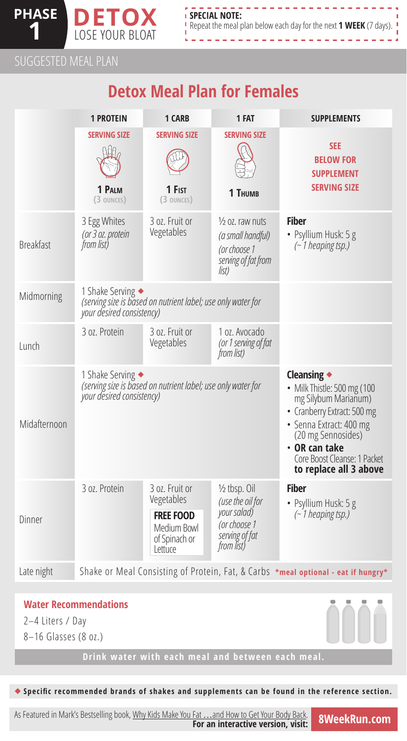

SUGGESTED MEAL PLAN

# **Detox Meal Plan for Females**

|                  | <b>1 PROTEIN</b>                                                                                               | 1 CARB                                                                                      | 1 FAT                                                                                                      | <b>SUPPLEMENTS</b>                                                                                                                                                                                                            |
|------------------|----------------------------------------------------------------------------------------------------------------|---------------------------------------------------------------------------------------------|------------------------------------------------------------------------------------------------------------|-------------------------------------------------------------------------------------------------------------------------------------------------------------------------------------------------------------------------------|
|                  | <b>SERVING SIZE</b><br>1 PALM<br>(3 OUNCES)                                                                    | <b>SERVING SIZE</b><br>1 Fist<br>(3 OUNCES)                                                 | <b>SERVING SIZE</b><br>1 THUMB                                                                             | <b>SEE</b><br><b>BELOW FOR</b><br><b>SUPPLEMENT</b><br><b>SERVING SIZE</b>                                                                                                                                                    |
| <b>Breakfast</b> | 3 Egg Whites<br>(or 3 oz. protein<br>from list)                                                                | 3 oz. Fruit or<br>Vegetables                                                                | 1/ <sub>2</sub> oz. raw nuts<br>(a small handful)<br>(or choose 1<br>serving of fat from<br>list)          | <b>Fiber</b><br>· Psyllium Husk: 5 g<br>$(-1)$ heaping tsp.)                                                                                                                                                                  |
| Midmorning       | 1 Shake Serving ◆<br>(serving size is based on nutrient label; use only water for<br>your desired consistency) |                                                                                             |                                                                                                            |                                                                                                                                                                                                                               |
| <b>Lunch</b>     | 3 oz. Protein                                                                                                  | 3 oz. Fruit or<br>Vegetables                                                                | 1 oz. Avocado<br>(or 1 serving of fat<br>from list)                                                        |                                                                                                                                                                                                                               |
| Midafternoon     | 1 Shake Serving ◆<br>(serving size is based on nutrient label; use only water for<br>your desired consistency) |                                                                                             |                                                                                                            | Cleansing •<br>• Milk Thistle: 500 mg (100<br>mg Silybum Marianum)<br>• Cranberry Extract: 500 mg<br>· Senna Extract: 400 mg<br>(20 mg Sennosides)<br>• OR can take<br>Core Boost Cleanse: 1 Packet<br>to replace all 3 above |
| Dinner           | 3 oz. Protein                                                                                                  | 3 oz. Fruit or<br>Vegetables<br><b>FREE FOOD</b><br>Medium Bowl<br>of Spinach or<br>Lettuce | $\frac{1}{2}$ tbsp. Oil<br>(use the oil for<br>your salad)<br>(or choose 1<br>serving of fat<br>from list) | <b>Fiber</b><br>• Psyllium Husk: 5 g<br>$(-1)$ heaping tsp.)                                                                                                                                                                  |
| Late night       | Shake or Meal Consisting of Protein, Fat, & Carbs *meal optional - eat if hungry*                              |                                                                                             |                                                                                                            |                                                                                                                                                                                                                               |
|                  |                                                                                                                |                                                                                             |                                                                                                            |                                                                                                                                                                                                                               |

### **Water Recommendations**

- 2–4 Liters / Day
- 8–16 Glasses (8 oz.)

**Specific recommended brands of shakes and supplements can be found in the reference section.**